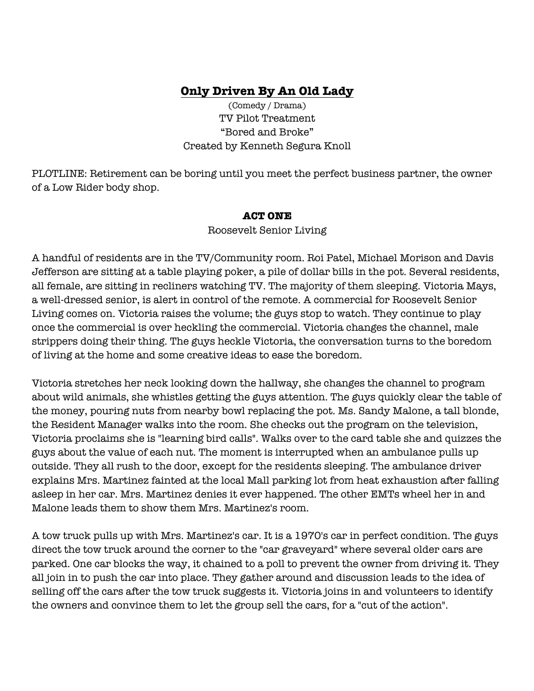# **Only Driven By An Old Lady**

(Comedy / Drama) TV Pilot Treatment "Bored and Broke" Created by Kenneth Segura Knoll

PLOTLINE: Retirement can be boring until you meet the perfect business partner, the owner of a Low Rider body shop.

#### **ACT ONE**

Roosevelt Senior Living

A handful of residents are in the TV/Community room. Roi Patel, Michael Morison and Davis Jefferson are sitting at a table playing poker, a pile of dollar bills in the pot. Several residents, all female, are sitting in recliners watching TV. The majority of them sleeping. Victoria Mays, a well-dressed senior, is alert in control of the remote. A commercial for Roosevelt Senior Living comes on. Victoria raises the volume; the guys stop to watch. They continue to play once the commercial is over heckling the commercial. Victoria changes the channel, male strippers doing their thing. The guys heckle Victoria, the conversation turns to the boredom of living at the home and some creative ideas to ease the boredom.

Victoria stretches her neck looking down the hallway, she changes the channel to program about wild animals, she whistles getting the guys attention. The guys quickly clear the table of the money, pouring nuts from nearby bowl replacing the pot. Ms. Sandy Malone, a tall blonde, the Resident Manager walks into the room. She checks out the program on the television, Victoria proclaims she is "learning bird calls". Walks over to the card table she and quizzes the guys about the value of each nut. The moment is interrupted when an ambulance pulls up outside. They all rush to the door, except for the residents sleeping. The ambulance driver explains Mrs. Martinez fainted at the local Mall parking lot from heat exhaustion after falling asleep in her car. Mrs. Martinez denies it ever happened. The other EMTs wheel her in and Malone leads them to show them Mrs. Martinez's room.

A tow truck pulls up with Mrs. Martinez's car. It is a 1970's car in perfect condition. The guys direct the tow truck around the corner to the "car graveyard" where several older cars are parked. One car blocks the way, it chained to a poll to prevent the owner from driving it. They all join in to push the car into place. They gather around and discussion leads to the idea of selling off the cars after the tow truck suggests it. Victoria joins in and volunteers to identify the owners and convince them to let the group sell the cars, for a "cut of the action".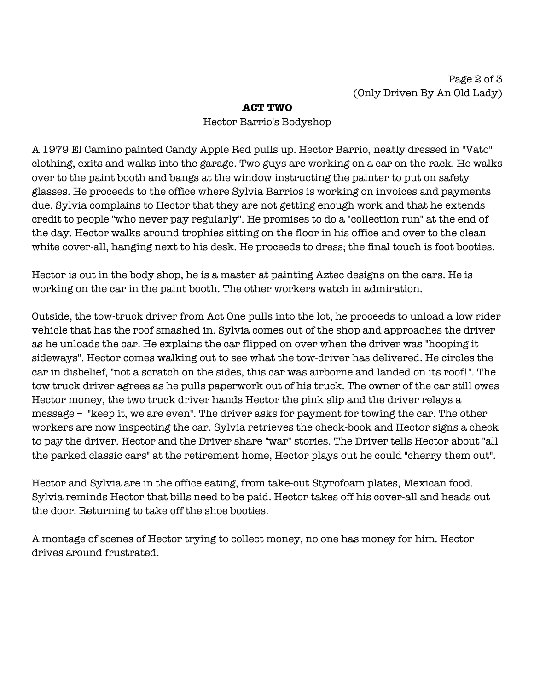### **ACT TWO**

#### Hector Barrio's Bodyshop

A 1979 El Camino painted Candy Apple Red pulls up. Hector Barrio, neatly dressed in "Vato" clothing, exits and walks into the garage. Two guys are working on a car on the rack. He walks over to the paint booth and bangs at the window instructing the painter to put on safety glasses. He proceeds to the office where Sylvia Barrios is working on invoices and payments due. Sylvia complains to Hector that they are not getting enough work and that he extends credit to people "who never pay regularly". He promises to do a "collection run" at the end of the day. Hector walks around trophies sitting on the floor in his office and over to the clean white cover-all, hanging next to his desk. He proceeds to dress; the final touch is foot booties.

Hector is out in the body shop, he is a master at painting Aztec designs on the cars. He is working on the car in the paint booth. The other workers watch in admiration.

Outside, the tow-truck driver from Act One pulls into the lot, he proceeds to unload a low rider vehicle that has the roof smashed in. Sylvia comes out of the shop and approaches the driver as he unloads the car. He explains the car flipped on over when the driver was "hooping it sideways". Hector comes walking out to see what the tow-driver has delivered. He circles the car in disbelief, "not a scratch on the sides, this car was airborne and landed on its roof!". The tow truck driver agrees as he pulls paperwork out of his truck. The owner of the car still owes Hector money, the two truck driver hands Hector the pink slip and the driver relays a message – "keep it, we are even". The driver asks for payment for towing the car. The other workers are now inspecting the car. Sylvia retrieves the check-book and Hector signs a check to pay the driver. Hector and the Driver share "war" stories. The Driver tells Hector about "all the parked classic cars" at the retirement home, Hector plays out he could "cherry them out".

Hector and Sylvia are in the office eating, from take-out Styrofoam plates, Mexican food. Sylvia reminds Hector that bills need to be paid. Hector takes off his cover-all and heads out the door. Returning to take off the shoe booties.

A montage of scenes of Hector trying to collect money, no one has money for him. Hector drives around frustrated.